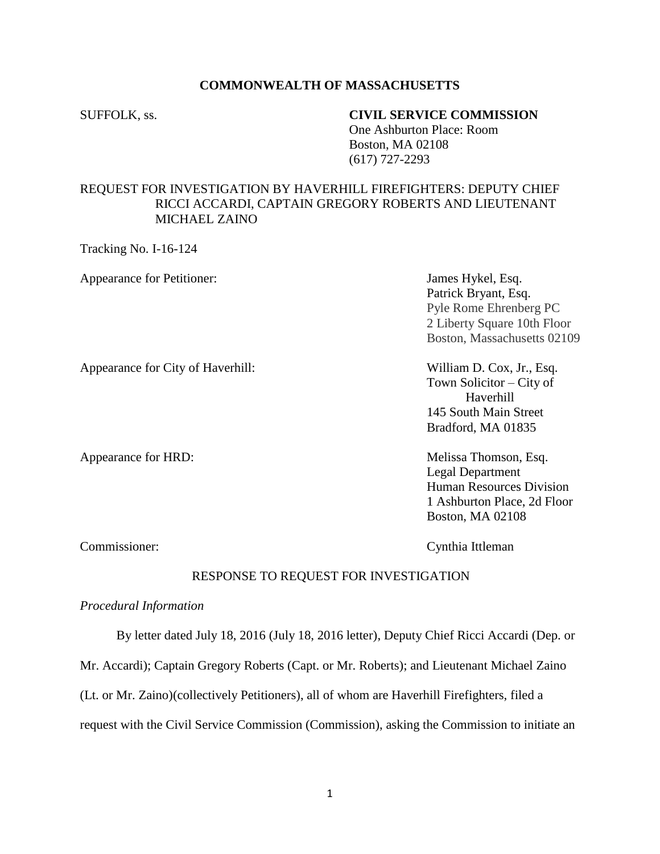## **COMMONWEALTH OF MASSACHUSETTS**

### SUFFOLK, ss. **CIVIL SERVICE COMMISSION**

One Ashburton Place: Room Boston, MA 02108 (617) 727-2293

# REQUEST FOR INVESTIGATION BY HAVERHILL FIREFIGHTERS: DEPUTY CHIEF RICCI ACCARDI, CAPTAIN GREGORY ROBERTS AND LIEUTENANT MICHAEL ZAINO

Tracking No. I-16-124

Appearance for Petitioner: James Hykel, Esq.

Patrick Bryant, Esq. Pyle Rome Ehrenberg PC 2 Liberty Square 10th Floor Boston, Massachusetts 02109

Appearance for City of Haverhill: William D. Cox, Jr., Esq.

Town Solicitor – City of Haverhill 145 South Main Street Bradford, MA 01835

Appearance for HRD: Melissa Thomson, Esq. Legal Department Human Resources Division 1 Ashburton Place, 2d Floor Boston, MA 02108

Commissioner: Cynthia Ittleman

### RESPONSE TO REQUEST FOR INVESTIGATION

### *Procedural Information*

By letter dated July 18, 2016 (July 18, 2016 letter), Deputy Chief Ricci Accardi (Dep. or

Mr. Accardi); Captain Gregory Roberts (Capt. or Mr. Roberts); and Lieutenant Michael Zaino

(Lt. or Mr. Zaino)(collectively Petitioners), all of whom are Haverhill Firefighters, filed a

request with the Civil Service Commission (Commission), asking the Commission to initiate an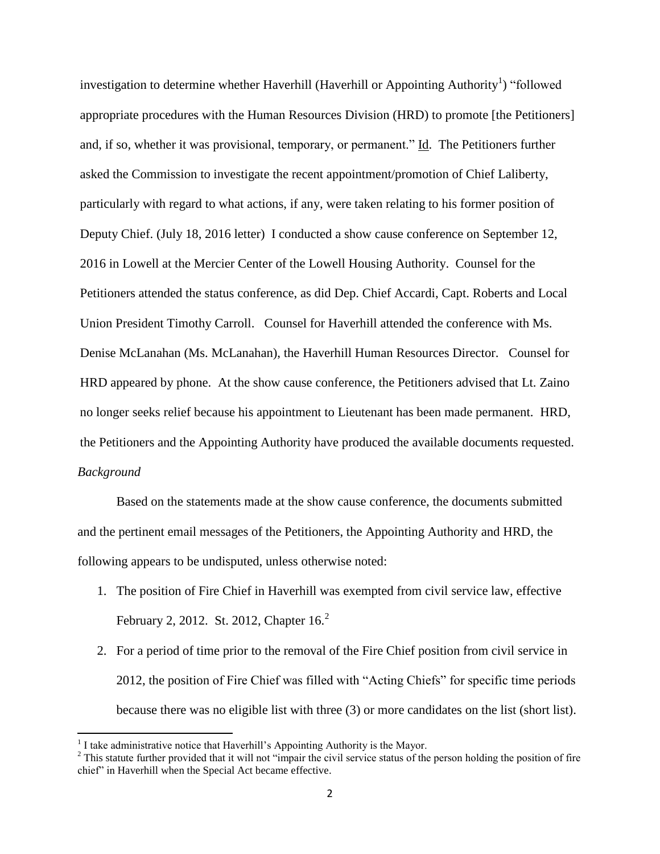investigation to determine whether Haverhill (Haverhill or Appointing Authority<sup>1</sup>) "followed appropriate procedures with the Human Resources Division (HRD) to promote [the Petitioners] and, if so, whether it was provisional, temporary, or permanent." Id. The Petitioners further asked the Commission to investigate the recent appointment/promotion of Chief Laliberty, particularly with regard to what actions, if any, were taken relating to his former position of Deputy Chief. (July 18, 2016 letter) I conducted a show cause conference on September 12, 2016 in Lowell at the Mercier Center of the Lowell Housing Authority. Counsel for the Petitioners attended the status conference, as did Dep. Chief Accardi, Capt. Roberts and Local Union President Timothy Carroll. Counsel for Haverhill attended the conference with Ms. Denise McLanahan (Ms. McLanahan), the Haverhill Human Resources Director. Counsel for HRD appeared by phone. At the show cause conference, the Petitioners advised that Lt. Zaino no longer seeks relief because his appointment to Lieutenant has been made permanent. HRD, the Petitioners and the Appointing Authority have produced the available documents requested. *Background*

Based on the statements made at the show cause conference, the documents submitted and the pertinent email messages of the Petitioners, the Appointing Authority and HRD, the following appears to be undisputed, unless otherwise noted:

- 1. The position of Fire Chief in Haverhill was exempted from civil service law, effective February 2, 2012. St. 2012, Chapter 16.<sup>2</sup>
- 2. For a period of time prior to the removal of the Fire Chief position from civil service in 2012, the position of Fire Chief was filled with "Acting Chiefs" for specific time periods because there was no eligible list with three (3) or more candidates on the list (short list).

 1 I take administrative notice that Haverhill's Appointing Authority is the Mayor.

<sup>&</sup>lt;sup>2</sup> This statute further provided that it will not "impair the civil service status of the person holding the position of fire chief" in Haverhill when the Special Act became effective.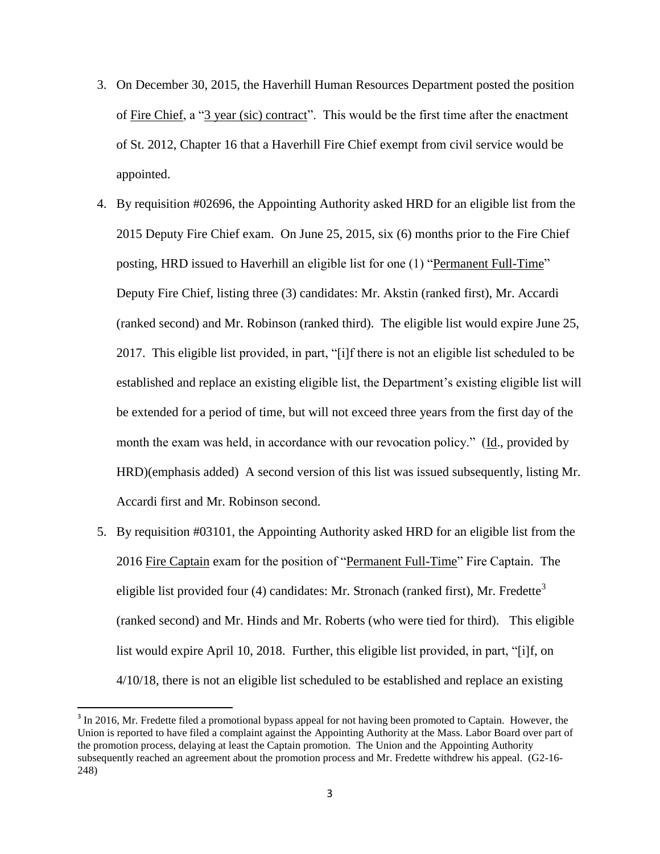- 3. On December 30, 2015, the Haverhill Human Resources Department posted the position of Fire Chief, a "3 year (sic) contract". This would be the first time after the enactment of St. 2012, Chapter 16 that a Haverhill Fire Chief exempt from civil service would be appointed.
- 4. By requisition #02696, the Appointing Authority asked HRD for an eligible list from the 2015 Deputy Fire Chief exam. On June 25, 2015, six (6) months prior to the Fire Chief posting, HRD issued to Haverhill an eligible list for one (1) "Permanent Full-Time" Deputy Fire Chief, listing three (3) candidates: Mr. Akstin (ranked first), Mr. Accardi (ranked second) and Mr. Robinson (ranked third). The eligible list would expire June 25, 2017. This eligible list provided, in part, "[i]f there is not an eligible list scheduled to be established and replace an existing eligible list, the Department's existing eligible list will be extended for a period of time, but will not exceed three years from the first day of the month the exam was held, in accordance with our revocation policy." (Id., provided by HRD)(emphasis added) A second version of this list was issued subsequently, listing Mr. Accardi first and Mr. Robinson second.
- 5. By requisition #03101, the Appointing Authority asked HRD for an eligible list from the 2016 Fire Captain exam for the position of "Permanent Full-Time" Fire Captain. The eligible list provided four (4) candidates: Mr. Stronach (ranked first), Mr. Fredette<sup>3</sup> (ranked second) and Mr. Hinds and Mr. Roberts (who were tied for third). This eligible list would expire April 10, 2018. Further, this eligible list provided, in part, "[i]f, on 4/10/18, there is not an eligible list scheduled to be established and replace an existing

 $\overline{a}$ 

 $3 \text{ In } 2016$ , Mr. Fredette filed a promotional bypass appeal for not having been promoted to Captain. However, the Union is reported to have filed a complaint against the Appointing Authority at the Mass. Labor Board over part of the promotion process, delaying at least the Captain promotion. The Union and the Appointing Authority subsequently reached an agreement about the promotion process and Mr. Fredette withdrew his appeal. (G2-16- 248)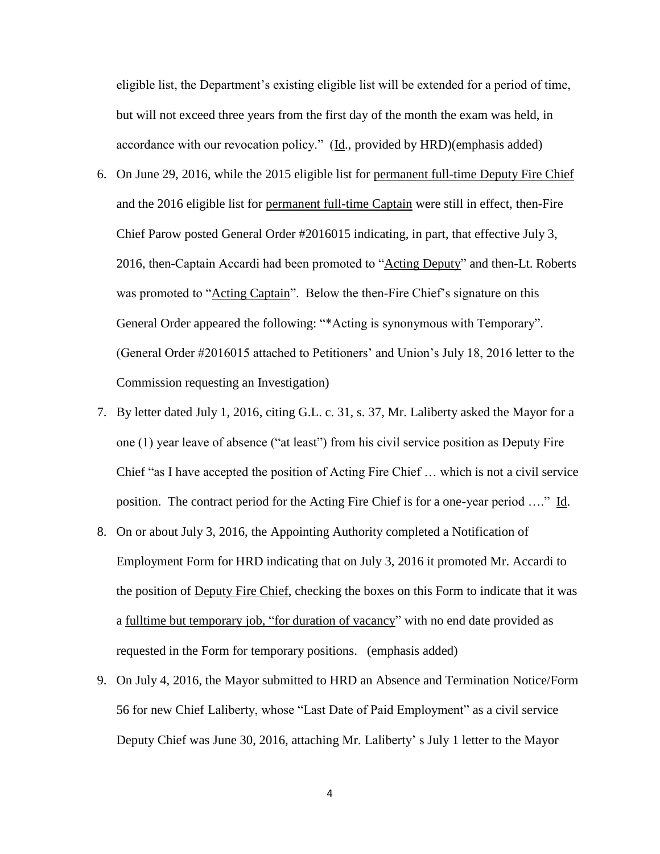eligible list, the Department's existing eligible list will be extended for a period of time, but will not exceed three years from the first day of the month the exam was held, in accordance with our revocation policy." (Id., provided by HRD)(emphasis added)

- 6. On June 29, 2016, while the 2015 eligible list for permanent full-time Deputy Fire Chief and the 2016 eligible list for permanent full-time Captain were still in effect, then-Fire Chief Parow posted General Order #2016015 indicating, in part, that effective July 3, 2016, then-Captain Accardi had been promoted to "Acting Deputy" and then-Lt. Roberts was promoted to "Acting Captain". Below the then-Fire Chief's signature on this General Order appeared the following: "\*Acting is synonymous with Temporary". (General Order #2016015 attached to Petitioners' and Union's July 18, 2016 letter to the Commission requesting an Investigation)
- 7. By letter dated July 1, 2016, citing G.L. c. 31, s. 37, Mr. Laliberty asked the Mayor for a one (1) year leave of absence ("at least") from his civil service position as Deputy Fire Chief "as I have accepted the position of Acting Fire Chief … which is not a civil service position. The contract period for the Acting Fire Chief is for a one-year period …." Id.
- 8. On or about July 3, 2016, the Appointing Authority completed a Notification of Employment Form for HRD indicating that on July 3, 2016 it promoted Mr. Accardi to the position of Deputy Fire Chief, checking the boxes on this Form to indicate that it was a fulltime but temporary job, "for duration of vacancy" with no end date provided as requested in the Form for temporary positions. (emphasis added)
- 9. On July 4, 2016, the Mayor submitted to HRD an Absence and Termination Notice/Form 56 for new Chief Laliberty, whose "Last Date of Paid Employment" as a civil service Deputy Chief was June 30, 2016, attaching Mr. Laliberty' s July 1 letter to the Mayor

4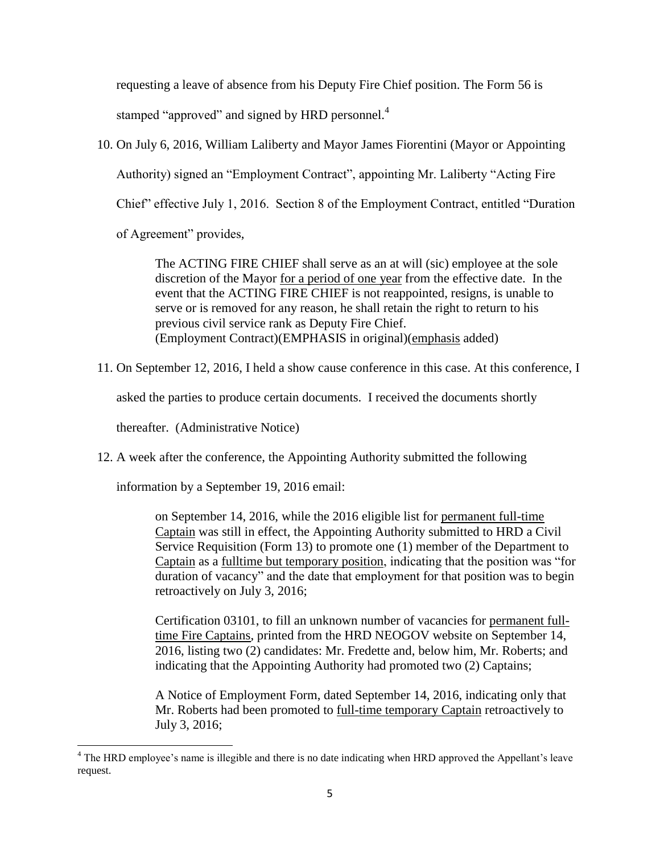requesting a leave of absence from his Deputy Fire Chief position. The Form 56 is stamped "approved" and signed by HRD personnel.<sup>4</sup>

10. On July 6, 2016, William Laliberty and Mayor James Fiorentini (Mayor or Appointing Authority) signed an "Employment Contract", appointing Mr. Laliberty "Acting Fire Chief" effective July 1, 2016. Section 8 of the Employment Contract, entitled "Duration of Agreement" provides,

> The ACTING FIRE CHIEF shall serve as an at will (sic) employee at the sole discretion of the Mayor for a period of one year from the effective date. In the event that the ACTING FIRE CHIEF is not reappointed, resigns, is unable to serve or is removed for any reason, he shall retain the right to return to his previous civil service rank as Deputy Fire Chief. (Employment Contract)(EMPHASIS in original)(emphasis added)

11. On September 12, 2016, I held a show cause conference in this case. At this conference, I

asked the parties to produce certain documents. I received the documents shortly

thereafter. (Administrative Notice)

12. A week after the conference, the Appointing Authority submitted the following

information by a September 19, 2016 email:

on September 14, 2016, while the 2016 eligible list for permanent full-time Captain was still in effect, the Appointing Authority submitted to HRD a Civil Service Requisition (Form 13) to promote one (1) member of the Department to Captain as a fulltime but temporary position, indicating that the position was "for duration of vacancy" and the date that employment for that position was to begin retroactively on July 3, 2016;

Certification 03101, to fill an unknown number of vacancies for permanent fulltime Fire Captains, printed from the HRD NEOGOV website on September 14, 2016, listing two (2) candidates: Mr. Fredette and, below him, Mr. Roberts; and indicating that the Appointing Authority had promoted two (2) Captains;

A Notice of Employment Form, dated September 14, 2016, indicating only that Mr. Roberts had been promoted to full-time temporary Captain retroactively to July 3, 2016;

 $\overline{\phantom{a}}$ <sup>4</sup> The HRD employee's name is illegible and there is no date indicating when HRD approved the Appellant's leave request.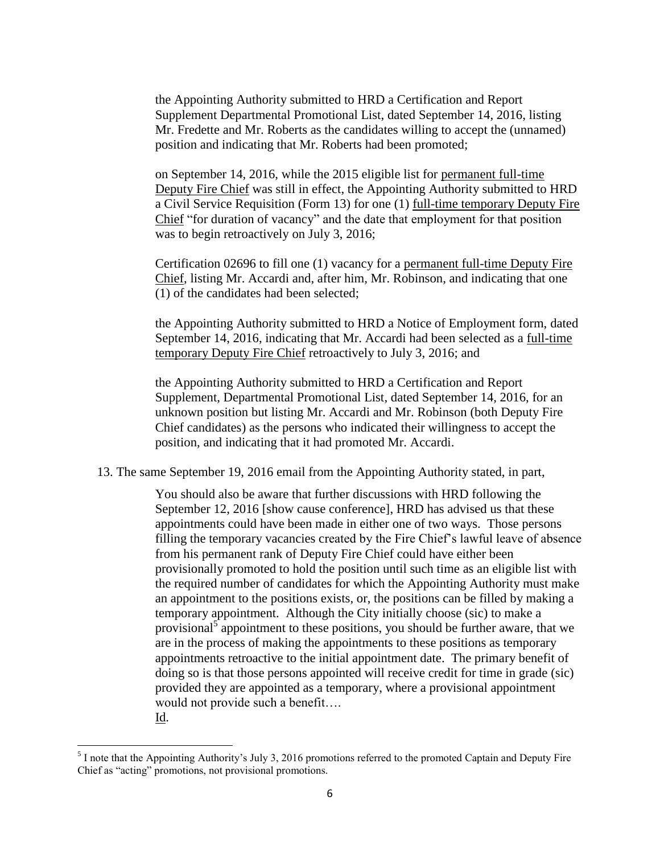the Appointing Authority submitted to HRD a Certification and Report Supplement Departmental Promotional List, dated September 14, 2016, listing Mr. Fredette and Mr. Roberts as the candidates willing to accept the (unnamed) position and indicating that Mr. Roberts had been promoted;

on September 14, 2016, while the 2015 eligible list for permanent full-time Deputy Fire Chief was still in effect, the Appointing Authority submitted to HRD a Civil Service Requisition (Form 13) for one (1) full-time temporary Deputy Fire Chief "for duration of vacancy" and the date that employment for that position was to begin retroactively on July 3, 2016;

Certification 02696 to fill one (1) vacancy for a permanent full-time Deputy Fire Chief, listing Mr. Accardi and, after him, Mr. Robinson, and indicating that one (1) of the candidates had been selected;

the Appointing Authority submitted to HRD a Notice of Employment form, dated September 14, 2016, indicating that Mr. Accardi had been selected as a full-time temporary Deputy Fire Chief retroactively to July 3, 2016; and

the Appointing Authority submitted to HRD a Certification and Report Supplement, Departmental Promotional List, dated September 14, 2016, for an unknown position but listing Mr. Accardi and Mr. Robinson (both Deputy Fire Chief candidates) as the persons who indicated their willingness to accept the position, and indicating that it had promoted Mr. Accardi.

13. The same September 19, 2016 email from the Appointing Authority stated, in part,

You should also be aware that further discussions with HRD following the September 12, 2016 [show cause conference], HRD has advised us that these appointments could have been made in either one of two ways. Those persons filling the temporary vacancies created by the Fire Chief's lawful leave of absence from his permanent rank of Deputy Fire Chief could have either been provisionally promoted to hold the position until such time as an eligible list with the required number of candidates for which the Appointing Authority must make an appointment to the positions exists, or, the positions can be filled by making a temporary appointment. Although the City initially choose (sic) to make a provisional<sup>5</sup> appointment to these positions, you should be further aware, that we are in the process of making the appointments to these positions as temporary appointments retroactive to the initial appointment date. The primary benefit of doing so is that those persons appointed will receive credit for time in grade (sic) provided they are appointed as a temporary, where a provisional appointment would not provide such a benefit….

Id.

<sup>&</sup>lt;sup>5</sup> I note that the Appointing Authority's July 3, 2016 promotions referred to the promoted Captain and Deputy Fire Chief as "acting" promotions, not provisional promotions.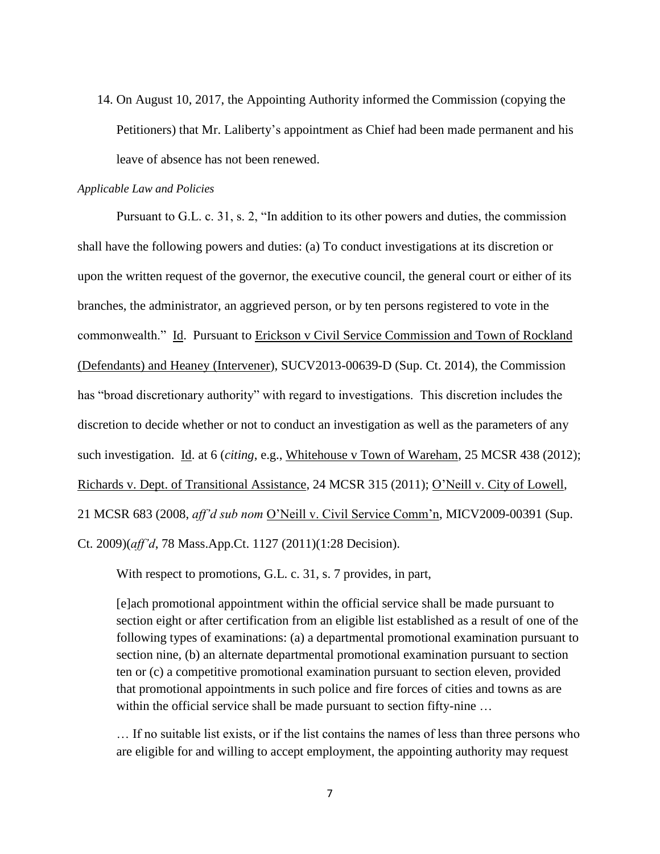14. On August 10, 2017, the Appointing Authority informed the Commission (copying the Petitioners) that Mr. Laliberty's appointment as Chief had been made permanent and his leave of absence has not been renewed.

#### *Applicable Law and Policies*

Pursuant to G.L. c. 31, s. 2, "In addition to its other powers and duties, the commission shall have the following powers and duties: (a) To conduct investigations at its discretion or upon the written request of the governor, the executive council, the general court or either of its branches, the administrator, an aggrieved person, or by ten persons registered to vote in the commonwealth." Id. Pursuant to Erickson v Civil Service Commission and Town of Rockland (Defendants) and Heaney (Intervener), SUCV2013-00639-D (Sup. Ct. 2014), the Commission has "broad discretionary authority" with regard to investigations. This discretion includes the discretion to decide whether or not to conduct an investigation as well as the parameters of any such investigation. Id. at 6 (*citing*, e.g., Whitehouse v Town of Wareham, 25 MCSR 438 (2012); Richards v. Dept. of Transitional Assistance, 24 MCSR 315 (2011); O'Neill v. City of Lowell, 21 MCSR 683 (2008, *aff'd sub nom* O'Neill v. Civil Service Comm'n, MICV2009-00391 (Sup. Ct. 2009)(*aff'd*, 78 Mass.App.Ct. 1127 (2011)(1:28 Decision).

With respect to promotions, G.L. c. 31, s. 7 provides, in part,

[e]ach promotional appointment within the official service shall be made pursuant to section eight or after certification from an eligible list established as a result of one of the following types of examinations: (a) a departmental promotional examination pursuant to section nine, (b) an alternate departmental promotional examination pursuant to section ten or (c) a competitive promotional examination pursuant to section eleven, provided that promotional appointments in such police and fire forces of cities and towns as are within the official service shall be made pursuant to section fifty-nine ...

… If no suitable list exists, or if the list contains the names of less than three persons who are eligible for and willing to accept employment, the appointing authority may request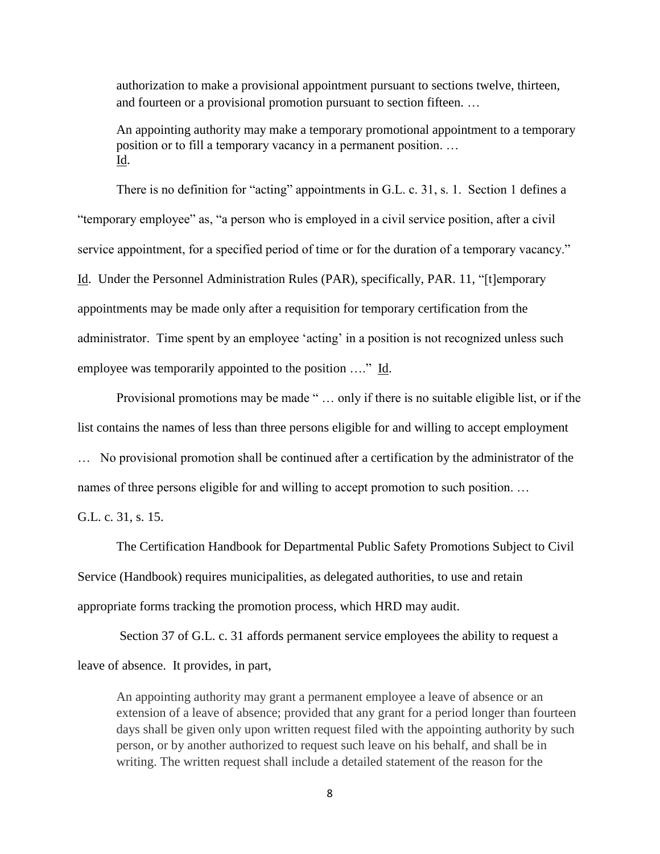authorization to make a provisional appointment pursuant to sections twelve, thirteen, and fourteen or a provisional promotion pursuant to section fifteen. …

An appointing authority may make a temporary promotional appointment to a temporary position or to fill a temporary vacancy in a permanent position. … Id.

There is no definition for "acting" appointments in G.L. c. 31, s. 1. Section 1 defines a "temporary employee" as, "a person who is employed in a civil service position, after a civil service appointment, for a specified period of time or for the duration of a temporary vacancy." Id. Under the Personnel Administration Rules (PAR), specifically, PAR. 11, "[t]emporary appointments may be made only after a requisition for temporary certification from the administrator. Time spent by an employee 'acting' in a position is not recognized unless such employee was temporarily appointed to the position …." Id.

Provisional promotions may be made " … only if there is no suitable eligible list, or if the list contains the names of less than three persons eligible for and willing to accept employment … No provisional promotion shall be continued after a certification by the administrator of the names of three persons eligible for and willing to accept promotion to such position. …

G.L. c. 31, s. 15.

The Certification Handbook for Departmental Public Safety Promotions Subject to Civil Service (Handbook) requires municipalities, as delegated authorities, to use and retain appropriate forms tracking the promotion process, which HRD may audit.

Section 37 of G.L. c. 31 affords permanent service employees the ability to request a leave of absence. It provides, in part,

An appointing authority may grant a permanent employee a leave of absence or an extension of a leave of absence; provided that any grant for a period longer than fourteen days shall be given only upon written request filed with the appointing authority by such person, or by another authorized to request such leave on his behalf, and shall be in writing. The written request shall include a detailed statement of the reason for the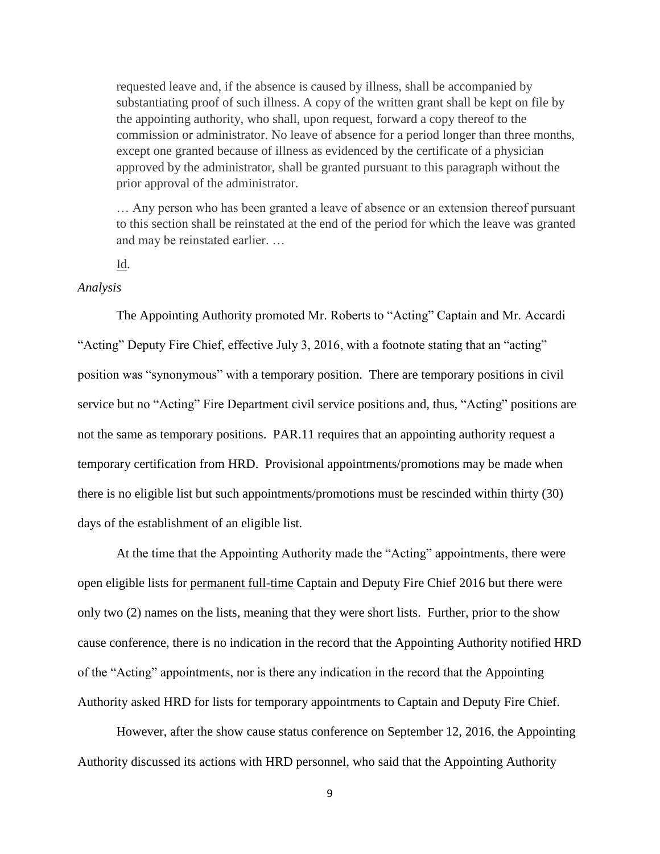requested leave and, if the absence is caused by illness, shall be accompanied by substantiating proof of such illness. A copy of the written grant shall be kept on file by the appointing authority, who shall, upon request, forward a copy thereof to the commission or administrator. No leave of absence for a period longer than three months, except one granted because of illness as evidenced by the certificate of a physician approved by the administrator, shall be granted pursuant to this paragraph without the prior approval of the administrator.

… Any person who has been granted a leave of absence or an extension thereof pursuant to this section shall be reinstated at the end of the period for which the leave was granted and may be reinstated earlier. …

Id.

### *Analysis*

The Appointing Authority promoted Mr. Roberts to "Acting" Captain and Mr. Accardi "Acting" Deputy Fire Chief, effective July 3, 2016, with a footnote stating that an "acting" position was "synonymous" with a temporary position. There are temporary positions in civil service but no "Acting" Fire Department civil service positions and, thus, "Acting" positions are not the same as temporary positions. PAR.11 requires that an appointing authority request a temporary certification from HRD. Provisional appointments/promotions may be made when there is no eligible list but such appointments/promotions must be rescinded within thirty (30) days of the establishment of an eligible list.

At the time that the Appointing Authority made the "Acting" appointments, there were open eligible lists for permanent full-time Captain and Deputy Fire Chief 2016 but there were only two (2) names on the lists, meaning that they were short lists. Further, prior to the show cause conference, there is no indication in the record that the Appointing Authority notified HRD of the "Acting" appointments, nor is there any indication in the record that the Appointing Authority asked HRD for lists for temporary appointments to Captain and Deputy Fire Chief.

However, after the show cause status conference on September 12, 2016, the Appointing Authority discussed its actions with HRD personnel, who said that the Appointing Authority

9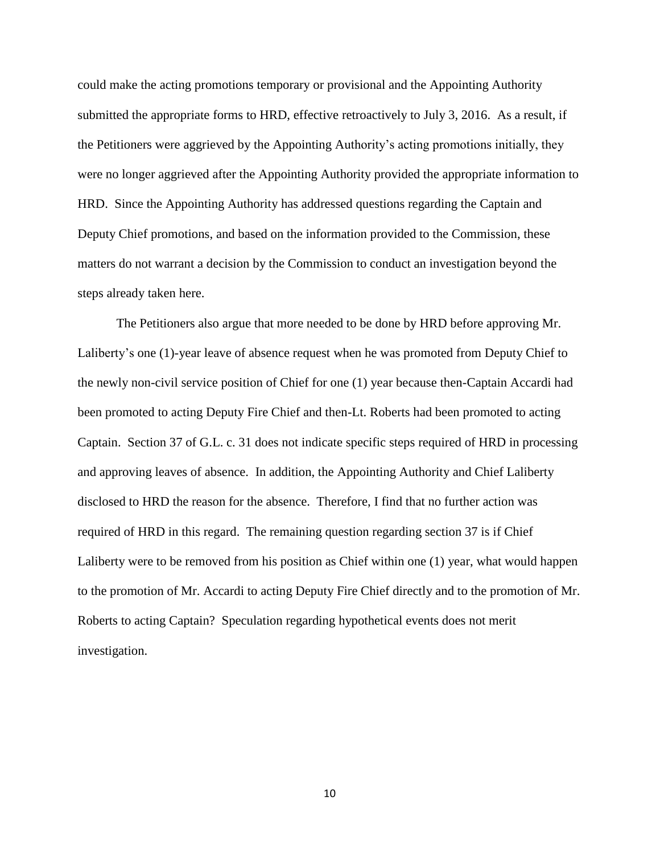could make the acting promotions temporary or provisional and the Appointing Authority submitted the appropriate forms to HRD, effective retroactively to July 3, 2016. As a result, if the Petitioners were aggrieved by the Appointing Authority's acting promotions initially, they were no longer aggrieved after the Appointing Authority provided the appropriate information to HRD. Since the Appointing Authority has addressed questions regarding the Captain and Deputy Chief promotions, and based on the information provided to the Commission, these matters do not warrant a decision by the Commission to conduct an investigation beyond the steps already taken here.

The Petitioners also argue that more needed to be done by HRD before approving Mr. Laliberty's one (1)-year leave of absence request when he was promoted from Deputy Chief to the newly non-civil service position of Chief for one (1) year because then-Captain Accardi had been promoted to acting Deputy Fire Chief and then-Lt. Roberts had been promoted to acting Captain. Section 37 of G.L. c. 31 does not indicate specific steps required of HRD in processing and approving leaves of absence. In addition, the Appointing Authority and Chief Laliberty disclosed to HRD the reason for the absence. Therefore, I find that no further action was required of HRD in this regard. The remaining question regarding section 37 is if Chief Laliberty were to be removed from his position as Chief within one (1) year, what would happen to the promotion of Mr. Accardi to acting Deputy Fire Chief directly and to the promotion of Mr. Roberts to acting Captain? Speculation regarding hypothetical events does not merit investigation.